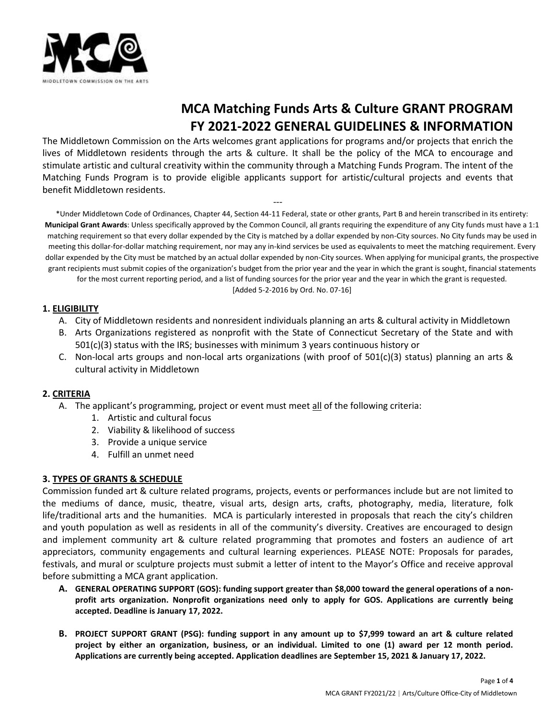

# **MCA Matching Funds Arts & Culture GRANT PROGRAM FY 2021-2022 GENERAL GUIDELINES & INFORMATION**

The Middletown Commission on the Arts welcomes grant applications for programs and/or projects that enrich the lives of Middletown residents through the arts & culture. It shall be the policy of the MCA to encourage and stimulate artistic and cultural creativity within the community through a Matching Funds Program. The intent of the Matching Funds Program is to provide eligible applicants support for artistic/cultural projects and events that benefit Middletown residents.

---

\*Under Middletown Code of Ordinances, Chapter 44, Section 44-11 Federal, state or other grants, Part B and herein transcribed in its entirety: **Municipal Grant Awards**: Unless specifically approved by the Common Council, all grants requiring the expenditure of any City funds must have a 1:1 matching requirement so that every dollar expended by the City is matched by a dollar expended by non-City sources. No City funds may be used in meeting this dollar-for-dollar matching requirement, nor may any in-kind services be used as equivalents to meet the matching requirement. Every dollar expended by the City must be matched by an actual dollar expended by non-City sources. When applying for municipal grants, the prospective grant recipients must submit copies of the organization's budget from the prior year and the year in which the grant is sought, financial statements for the most current reporting period, and a list of funding sources for the prior year and the year in which the grant is requested.

[Added 5-2-2016 by Ord. No. 07-16]

#### **1. ELIGIBILITY**

- A. City of Middletown residents and nonresident individuals planning an arts & cultural activity in Middletown
- B. Arts Organizations registered as nonprofit with the State of Connecticut Secretary of the State and with 501(c)(3) status with the IRS; businesses with minimum 3 years continuous history or
- C. Non-local arts groups and non-local arts organizations (with proof of 501(c)(3) status) planning an arts & cultural activity in Middletown

# **2. CRITERIA**

- A. The applicant's programming, project or event must meet all of the following criteria:
	- 1. Artistic and cultural focus
	- 2. Viability & likelihood of success
	- 3. Provide a unique service
	- 4. Fulfill an unmet need

#### **3. TYPES OF GRANTS & SCHEDULE**

Commission funded art & culture related programs, projects, events or performances include but are not limited to the mediums of dance, music, theatre, visual arts, design arts, crafts, photography, media, literature, folk life/traditional arts and the humanities. MCA is particularly interested in proposals that reach the city's children and youth population as well as residents in all of the community's diversity. Creatives are encouraged to design and implement community art & culture related programming that promotes and fosters an audience of art appreciators, community engagements and cultural learning experiences. PLEASE NOTE: Proposals for parades, festivals, and mural or sculpture projects must submit a letter of intent to the Mayor's Office and receive approval before submitting a MCA grant application.

- **A. GENERAL OPERATING SUPPORT (GOS): funding support greater than \$8,000 toward the general operations of a nonprofit arts organization. Nonprofit organizations need only to apply for GOS. Applications are currently being accepted. Deadline is January 17, 2022.**
- **B. PROJECT SUPPORT GRANT (PSG): funding support in any amount up to \$7,999 toward an art & culture related project by either an organization, business, or an individual. Limited to one (1) award per 12 month period. Applications are currently being accepted. Application deadlines are September 15, 2021 & January 17, 2022.**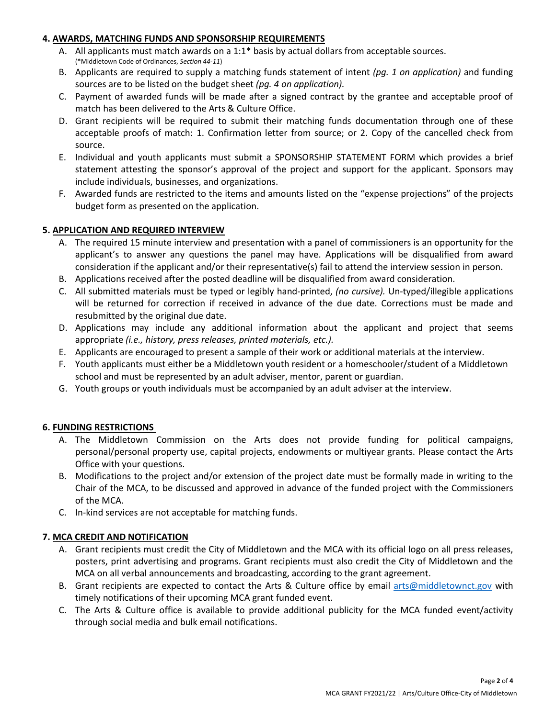## **4. AWARDS, MATCHING FUNDS AND SPONSORSHIP REQUIREMENTS**

- A. All applicants must match awards on a 1:1\* basis by actual dollars from acceptable sources. (\*Middletown Code of Ordinances, *Section 44-11*)
- B. Applicants are required to supply a matching funds statement of intent *(pg. 1 on application)* and funding sources are to be listed on the budget sheet *(pg. 4 on application).*
- C. Payment of awarded funds will be made after a signed contract by the grantee and acceptable proof of match has been delivered to the Arts & Culture Office.
- D. Grant recipients will be required to submit their matching funds documentation through one of these acceptable proofs of match: 1. Confirmation letter from source; or 2. Copy of the cancelled check from source.
- E. Individual and youth applicants must submit a SPONSORSHIP STATEMENT FORM which provides a brief statement attesting the sponsor's approval of the project and support for the applicant. Sponsors may include individuals, businesses, and organizations.
- F. Awarded funds are restricted to the items and amounts listed on the "expense projections" of the projects budget form as presented on the application.

## **5. APPLICATION AND REQUIRED INTERVIEW**

- A. The required 15 minute interview and presentation with a panel of commissioners is an opportunity for the applicant's to answer any questions the panel may have. Applications will be disqualified from award consideration if the applicant and/or their representative(s) fail to attend the interview session in person.
- B. Applications received after the posted deadline will be disqualified from award consideration.
- C. All submitted materials must be typed or legibly hand-printed, *(no cursive).* Un-typed/illegible applications will be returned for correction if received in advance of the due date. Corrections must be made and resubmitted by the original due date.
- D. Applications may include any additional information about the applicant and project that seems appropriate *(i.e., history, press releases, printed materials, etc.).*
- E. Applicants are encouraged to present a sample of their work or additional materials at the interview.
- F. Youth applicants must either be a Middletown youth resident or a homeschooler/student of a Middletown school and must be represented by an adult adviser, mentor, parent or guardian.
- G. Youth groups or youth individuals must be accompanied by an adult adviser at the interview.

#### **6. FUNDING RESTRICTIONS**

- A. The Middletown Commission on the Arts does not provide funding for political campaigns, personal/personal property use, capital projects, endowments or multiyear grants. Please contact the Arts Office with your questions.
- B. Modifications to the project and/or extension of the project date must be formally made in writing to the Chair of the MCA, to be discussed and approved in advance of the funded project with the Commissioners of the MCA.
- C. In-kind services are not acceptable for matching funds.

# **7. MCA CREDIT AND NOTIFICATION**

- A. Grant recipients must credit the City of Middletown and the MCA with its official logo on all press releases, posters, print advertising and programs. Grant recipients must also credit the City of Middletown and the MCA on all verbal announcements and broadcasting, according to the grant agreement.
- B. Grant recipients are expected to contact the Arts & Culture office by email [arts@middletownct.gov](mailto:arts@middletownct.gov) with timely notifications of their upcoming MCA grant funded event.
- C. The Arts & Culture office is available to provide additional publicity for the MCA funded event/activity through social media and bulk email notifications.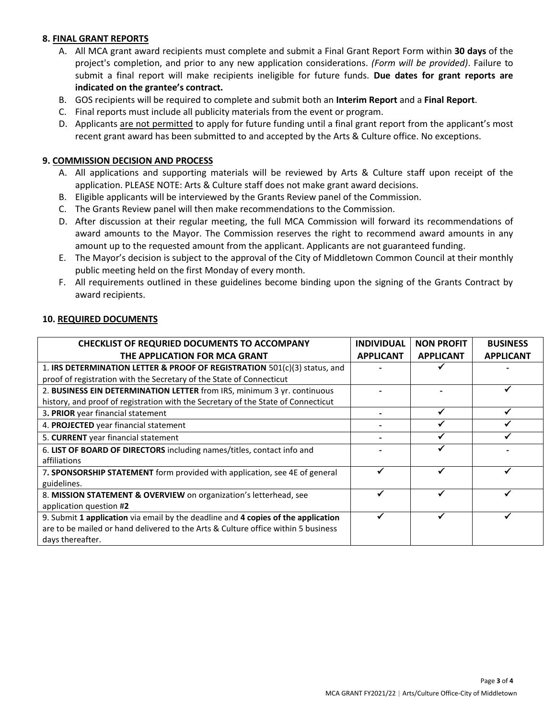## **8. FINAL GRANT REPORTS**

- A. All MCA grant award recipients must complete and submit a Final Grant Report Form within **30 days** of the project's completion, and prior to any new application considerations. *(Form will be provided)*. Failure to submit a final report will make recipients ineligible for future funds. **Due dates for grant reports are indicated on the grantee's contract.**
- B. GOS recipients will be required to complete and submit both an **Interim Report** and a **Final Report**.
- C. Final reports must include all publicity materials from the event or program.
- D. Applicants are not permitted to apply for future funding until a final grant report from the applicant's most recent grant award has been submitted to and accepted by the Arts & Culture office. No exceptions.

## **9. COMMISSION DECISION AND PROCESS**

- A. All applications and supporting materials will be reviewed by Arts & Culture staff upon receipt of the application. PLEASE NOTE: Arts & Culture staff does not make grant award decisions.
- B. Eligible applicants will be interviewed by the Grants Review panel of the Commission.
- C. The Grants Review panel will then make recommendations to the Commission.
- D. After discussion at their regular meeting, the full MCA Commission will forward its recommendations of award amounts to the Mayor. The Commission reserves the right to recommend award amounts in any amount up to the requested amount from the applicant. Applicants are not guaranteed funding.
- E. The Mayor's decision is subject to the approval of the City of Middletown Common Council at their monthly public meeting held on the first Monday of every month.
- F. All requirements outlined in these guidelines become binding upon the signing of the Grants Contract by award recipients.

| <b>CHECKLIST OF REQURIED DOCUMENTS TO ACCOMPANY</b><br>THE APPLICATION FOR MCA GRANT | <b>INDIVIDUAL</b><br><b>APPLICANT</b> | <b>NON PROFIT</b><br><b>APPLICANT</b> | <b>BUSINESS</b><br><b>APPLICANT</b> |
|--------------------------------------------------------------------------------------|---------------------------------------|---------------------------------------|-------------------------------------|
|                                                                                      |                                       |                                       |                                     |
| 1. IRS DETERMINATION LETTER & PROOF OF REGISTRATION 501(c)(3) status, and            |                                       |                                       |                                     |
| proof of registration with the Secretary of the State of Connecticut                 |                                       |                                       |                                     |
| 2. BUSINESS EIN DETERMINATION LETTER from IRS, minimum 3 yr. continuous              |                                       |                                       |                                     |
| history, and proof of registration with the Secretary of the State of Connecticut    |                                       |                                       |                                     |
| 3. PRIOR year financial statement                                                    |                                       |                                       |                                     |
| 4. PROJECTED year financial statement                                                |                                       |                                       |                                     |
| 5. CURRENT year financial statement                                                  |                                       |                                       |                                     |
| 6. LIST OF BOARD OF DIRECTORS including names/titles, contact info and               |                                       |                                       |                                     |
| affiliations                                                                         |                                       |                                       |                                     |
| 7. SPONSORSHIP STATEMENT form provided with application, see 4E of general           |                                       |                                       |                                     |
| guidelines.                                                                          |                                       |                                       |                                     |
| 8. MISSION STATEMENT & OVERVIEW on organization's letterhead, see                    |                                       |                                       |                                     |
| application question #2                                                              |                                       |                                       |                                     |
| 9. Submit 1 application via email by the deadline and 4 copies of the application    |                                       |                                       |                                     |
| are to be mailed or hand delivered to the Arts & Culture office within 5 business    |                                       |                                       |                                     |
| days thereafter.                                                                     |                                       |                                       |                                     |
|                                                                                      |                                       |                                       |                                     |

#### **10. REQUIRED DOCUMENTS**